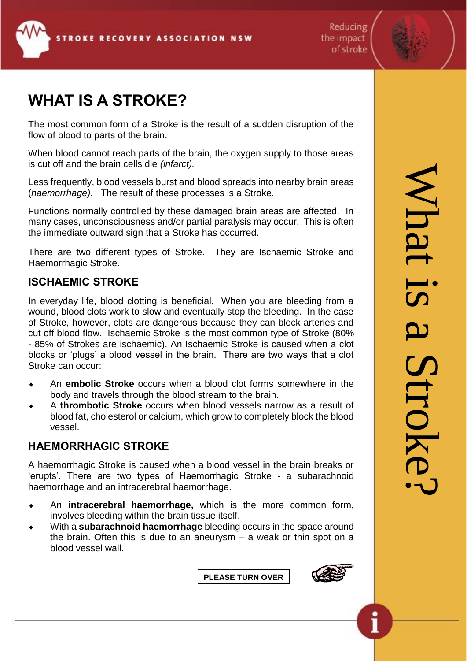





## **WHAT IS A STROKE?**

The most common form of a Stroke is the result of a sudden disruption of the flow of blood to parts of the brain.

When blood cannot reach parts of the brain, the oxygen supply to those areas is cut off and the brain cells die *(infarct).* 

Less frequently, blood vessels burst and blood spreads into nearby brain areas (*haemorrhage).* The result of these processes is a Stroke.

Functions normally controlled by these damaged brain areas are affected. In many cases, unconsciousness and/or partial paralysis may occur. This is often the immediate outward sign that a Stroke has occurred.

There are two different types of Stroke. They are Ischaemic Stroke and Haemorrhagic Stroke.

### **ISCHAEMIC STROKE**

In everyday life, blood clotting is beneficial. When you are bleeding from a wound, blood clots work to slow and eventually stop the bleeding. In the case of Stroke, however, clots are dangerous because they can block arteries and cut off blood flow. Ischaemic Stroke is the most common type of Stroke (80% - 85% of Strokes are ischaemic). An Ischaemic Stroke is caused when a clot blocks or 'plugs' a blood vessel in the brain. There are two ways that a clot Stroke can occur:

- An **embolic Stroke** occurs when a blood clot forms somewhere in the body and travels through the blood stream to the brain.
- A **thrombotic Stroke** occurs when blood vessels narrow as a result of blood fat, cholesterol or calcium, which grow to completely block the blood vessel.

## **HAEMORRHAGIC STROKE**

A haemorrhagic Stroke is caused when a blood vessel in the brain breaks or 'erupts'. There are two types of Haemorrhagic Stroke - a subarachnoid haemorrhage and an intracerebral haemorrhage.

- An **intracerebral haemorrhage,** which is the more common form, involves bleeding within the brain tissue itself.
- With a **subarachnoid haemorrhage** bleeding occurs in the space around the brain. Often this is due to an aneurysm – a weak or thin spot on a blood vessel wall.

**PLEASE TURN OVER**